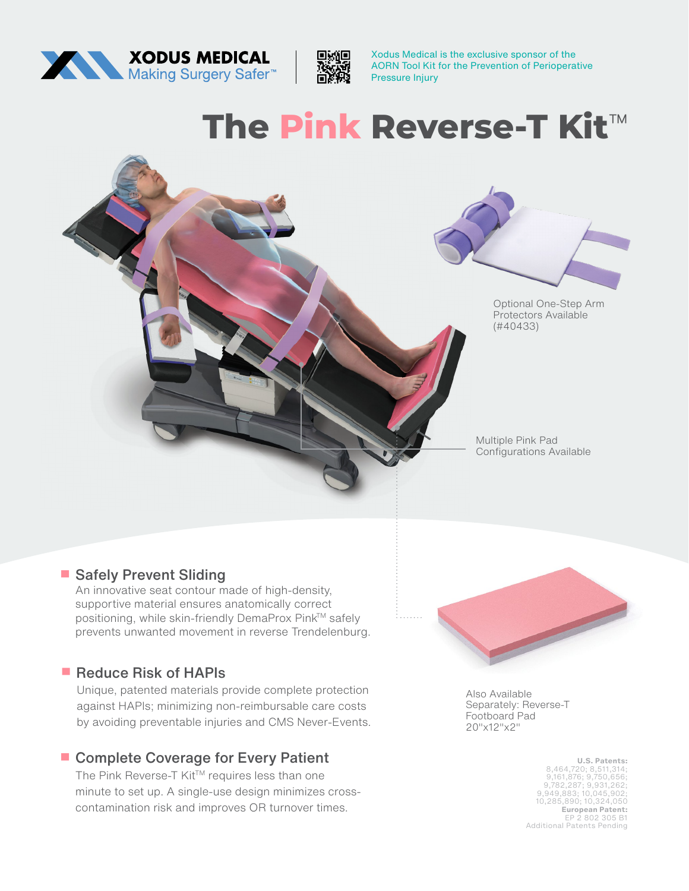



Xodus Medical is the exclusive sponsor of the AORN Tool Kit for the Prevention of Perioperative Pressure Injury

# **The Pink Reverse-T Kit**™



#### **• Safely Prevent Sliding**

An innovative seat contour made of high-density, supportive material ensures anatomically correct positioning, while skin-friendly DemaProx Pink™ safely prevents unwanted movement in reverse Trendelenburg.

## **• Reduce Risk of HAPIs**

Unique, patented materials provide complete protection against HAPIs; minimizing non-reimbursable care costs by avoiding preventable injuries and CMS Never-Events.

## **• Complete Coverage for Every Patient**

The Pink Reverse-T Kit™ requires less than one minute to set up. A single-use design minimizes crosscontamination risk and improves OR turnover times.



Also Available Separately: Reverse-T Footboard Pad 20"x12"x2"

> **U.S. Patents:** 8,464,720; 8,511,314; 9,161,876; 9,750,656; 9,782,287; 9,931,262; 9,949,883; 10,045,902; 10,285,890; 10,324,050 **European Patent:** EP 2 802 305 B1 Additional Patents Pending